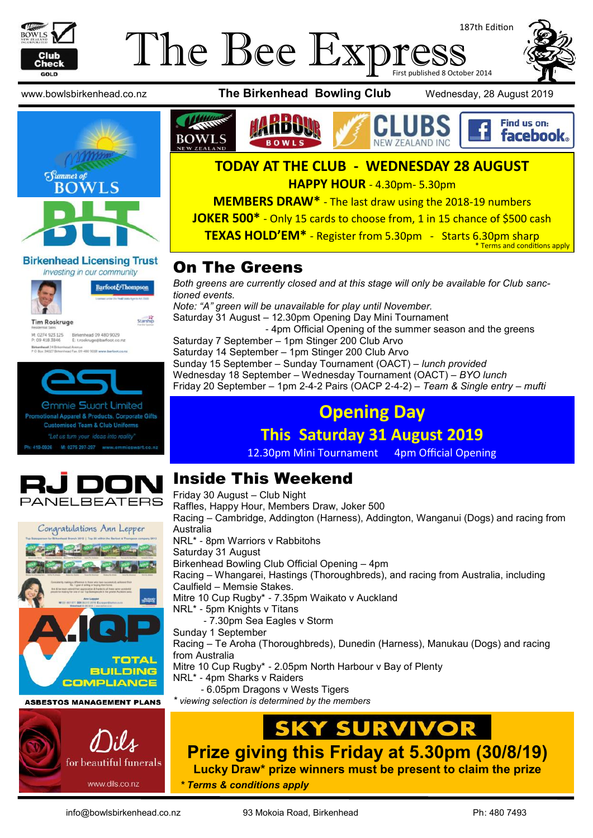

### The Bee Expi 187th Edition First published 8 October 2014



#### **Birkenhead Licensing Trust** Investing in our community



Barfoot&Thompson

Starship

**Tim Roskruge** M: 0274 923 125 Birkenhead 09 480 9029<br>P: 09 418 3846 E: troskruge@barfoot.co wad 24 B









#### **TODAY AT THE CLUB - WEDNESDAY 28 AUGUST**

**HAPPY HOUR** - 4.30pm- 5.30pm

**MEMBERS DRAW\*** - The last draw using the 2018-19 numbers

**JOKER 500\*** - Only 15 cards to choose from, 1 in 15 chance of \$500 cash

**TEXAS HOLD'EM\*** - Register from 5.30pm - Starts 6.30pm sharp Terms and conditions apply

### On The Greens

*Both greens are currently closed and at this stage will only be available for Club sanctioned events. Note: "A" green will be unavailable for play until November.* Saturday 31 August – 12.30pm Opening Day Mini Tournament - 4pm Official Opening of the summer season and the greens Saturday 7 September – 1pm Stinger 200 Club Arvo Saturday 14 September – 1pm Stinger 200 Club Arvo Sunday 15 September – Sunday Tournament (OACT) – *lunch provided* Wednesday 18 September – Wednesday Tournament (OACT) – *BYO lunch* Friday 20 September – 1pm 2-4-2 Pairs (OACP 2-4-2) – *Team & Single entry – mufti*

### **Opening Day**

### **This Saturday 31 August 2019**

12.30pm Mini Tournament 4pm Official Opening



Congratulations Ann Lepper

#### Inside This Weekend Friday 30 August – Club Night

Raffles, Happy Hour, Members Draw, Joker 500 Racing – Cambridge, Addington (Harness), Addington, Wanganui (Dogs) and racing from Australia NRL\* - 8pm Warriors v Rabbitohs Saturday 31 August Birkenhead Bowling Club Official Opening – 4pm Racing – Whangarei, Hastings (Thoroughbreds), and racing from Australia, including Caulfield – Memsie Stakes. Mitre 10 Cup Rugby\* - 7.35pm Waikato v Auckland NRL\* - 5pm Knights v Titans - 7.30pm Sea Eagles v Storm Sunday 1 September Racing – Te Aroha (Thoroughbreds), Dunedin (Harness), Manukau (Dogs) and racing from Australia Mitre 10 Cup Rugby\* - 2.05pm North Harbour v Bay of Plenty NRL\* - 4pm Sharks v Raiders - 6.05pm Dragons v Wests Tigers **ASBESTOS MANAGEMENT PLANS** *\* viewing selection is determined by the members*

## **Y SURVIVOR**

**Prize giving this Friday at 5.30pm (30/8/19)**

**Lucky Draw\* prize winners must be present to claim the prize**

*\* Terms & conditions apply*

for beautiful funerals

www.dils.co.nz

**TOTAL BUILDING COMPLIANCE**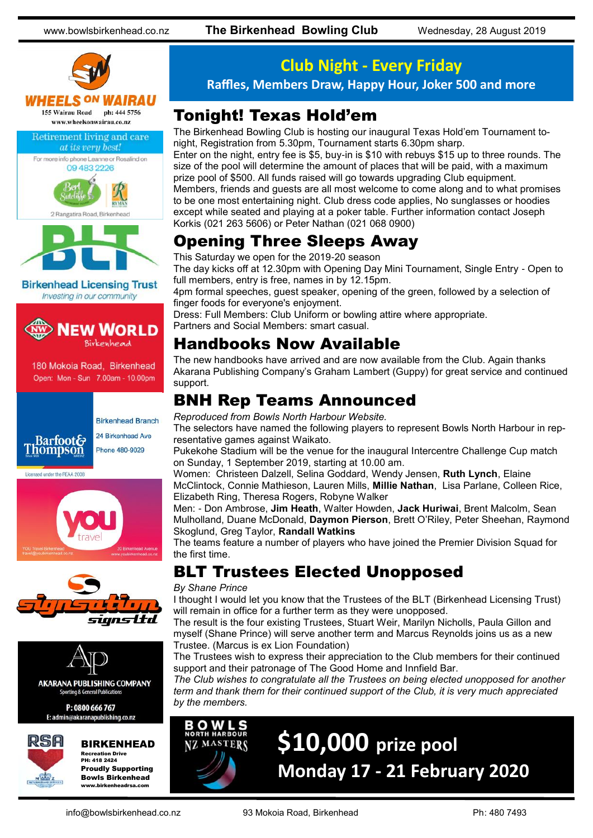



**Birkenhead Licensing Trust** Investing in our community



180 Mokoia Road, Birkenhead Open: Mon - Sun 7.00am - 10.00pm









**AKARANA PUBLISHING COMPANY** Sporting & General Publication

P: 0800 666 767 E: admin@akaranapublishing.co.nz



#### BIRKENHEAD

Recreation Drive PH: 418 2424 Proudly Supporting Bowls Birkenhead www.birkenheadrsa.com

### **Club Night - Every Friday**

**Raffles, Members Draw, Happy Hour, Joker 500 and more**

### Tonight! Texas Hold'em

The Birkenhead Bowling Club is hosting our inaugural Texas Hold'em Tournament tonight, Registration from 5.30pm, Tournament starts 6.30pm sharp.

Enter on the night, entry fee is \$5, buy-in is \$10 with rebuys \$15 up to three rounds. The size of the pool will determine the amount of places that will be paid, with a maximum prize pool of \$500. All funds raised will go towards upgrading Club equipment. Members, friends and guests are all most welcome to come along and to what promises to be one most entertaining night. Club dress code applies, No sunglasses or hoodies except while seated and playing at a poker table. Further information contact Joseph Korkis (021 263 5606) or Peter Nathan (021 068 0900)

### Opening Three Sleeps Away

This Saturday we open for the 2019-20 season

The day kicks off at 12.30pm with Opening Day Mini Tournament, Single Entry - Open to full members, entry is free, names in by 12.15pm.

4pm formal speeches, guest speaker, opening of the green, followed by a selection of finger foods for everyone's enjoyment.

Dress: Full Members: Club Uniform or bowling attire where appropriate. Partners and Social Members: smart casual.

### Handbooks Now Available

The new handbooks have arrived and are now available from the Club. Again thanks Akarana Publishing Company's Graham Lambert (Guppy) for great service and continued support.

### BNH Rep Teams Announced

*Reproduced from Bowls North Harbour Website.*

The selectors have named the following players to represent Bowls North Harbour in representative games against Waikato.

Pukekohe Stadium will be the venue for the inaugural Intercentre Challenge Cup match on Sunday, 1 September 2019, starting at 10.00 am.

Women: Christeen Dalzell, Selina Goddard, Wendy Jensen, **Ruth Lynch**, Elaine McClintock, Connie Mathieson, Lauren Mills, **Millie Nathan**, Lisa Parlane, Colleen Rice, Elizabeth Ring, Theresa Rogers, Robyne Walker

Men: - Don Ambrose, **Jim Heath**, Walter Howden, **Jack Huriwai**, Brent Malcolm, Sean Mulholland, Duane McDonald, **Daymon Pierson**, Brett O'Riley, Peter Sheehan, Raymond Skoglund, Greg Taylor, **Randall Watkins**

The teams feature a number of players who have joined the Premier Division Squad for the first time.

### BLT Trustees Elected Unopposed

#### *By Shane Prince*

I thought I would let you know that the Trustees of the BLT (Birkenhead Licensing Trust) will remain in office for a further term as they were unopposed.

The result is the four existing Trustees, Stuart Weir, Marilyn Nicholls, Paula Gillon and myself (Shane Prince) will serve another term and Marcus Reynolds joins us as a new Trustee. (Marcus is ex Lion Foundation)

The Trustees wish to express their appreciation to the Club members for their continued support and their patronage of The Good Home and Innfield Bar.

*The Club wishes to congratulate all the Trustees on being elected unopposed for another term and thank them for their continued support of the Club, it is very much appreciated by the members.*

**\$10,000 prize pool**



# **Monday 17 - 21 February 2020**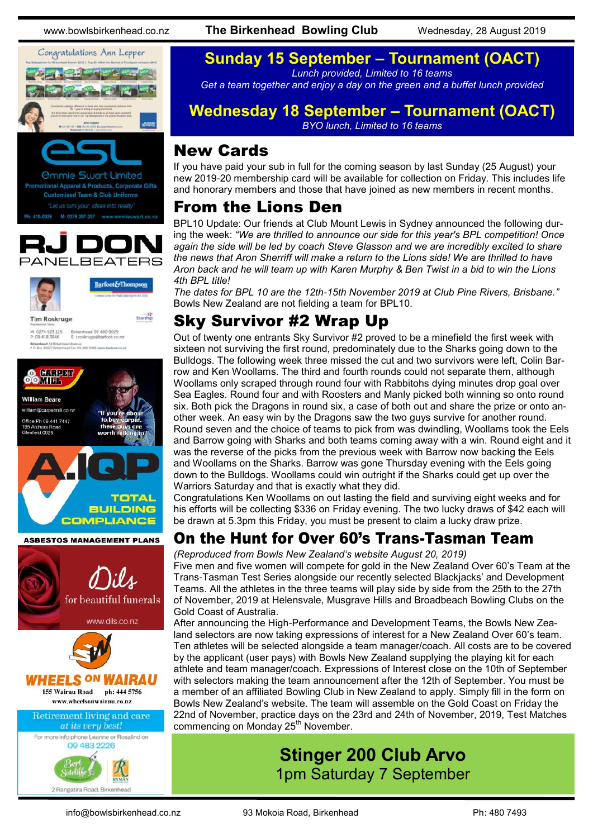

**Customised Team & Club Uniforms** 





Barfoot&Thompson

Starship

**Tim Roskruge** 

M: 0274 923 125 Birkenhead 09 480 9029<br>P: 09 418 3846 E: troskruge@barfoot.co.nz Birkenhead 24 Britannesd Avenue<br>P O Roy MD77 Roberthead Fox 09 ARD 9008 www.harfoot.co.ex



for beautiful funerals www.dils.co.nz HEELS <sup>ON</sup> WAIRAU 155 Wairau Road ph: 444 5756 www.wheelsonwairau.co.nz **Retirement living and care** at its very best!



www.bowlsbirkenhead.co.nz **The Birkenhead Bowling Club** Wednesday, 28 August 2019

#### **Sunday 15 September – Tournament (OACT)** *Lunch provided, Limited to 16 teams*

*Get a team together and enjoy a day on the green and a buffet lunch provided*

### **Wednesday 18 September – Tournament (OACT)**

*BYO lunch, Limited to 16 teams*

### New Cards

If you have paid your sub in full for the coming season by last Sunday (25 August) your new 2019-20 membership card will be available for collection on Friday. This includes life and honorary members and those that have joined as new members in recent months.

### From the Lions Den

BPL10 Update: Our friends at Club Mount Lewis in Sydney announced the following during the week: *"We are thrilled to announce our side for this year's BPL competition! Once again the side will be led by coach [Steve Glasson](https://www.facebook.com/profile.php?id=100005025345282&__tn__=K-R&eid=ARA53DJtOu1erEpoRI-i0MPpGCsyAGoAg2esz74D4D7cFfk3oyX6S5lTcIYW6p0QeuUbXbPYNPQHEsTG&fref=mentions&__xts__%5B0%5D=68.ARBmbfu4lRziQv9CjFOLhW_LoGrC5RzZj_5V5Qon-wgL9PQjBz635kFIkjWkn1oaSN7cdLFmffB) and we are incredibly excited to share the news that [Aron Sherriff](https://www.facebook.com/aron.sherriff.3?__tn__=K-R&eid=ARBnfo_9-LSexv--yFqdVbTYTyqi1_pdAEVH14AV3VBo88Avwwyfu2l4wieGZae1fCNm4yzdiWLHhMJN&fref=mentions&__xts__%5B0%5D=68.ARBmbfu4lRziQv9CjFOLhW_LoGrC5RzZj_5V5Qon-wgL9PQjBz635kFIkjWkn1oaSN7cdLFmffBSq3IXLYBZmz65Lp) will make a return to the Lions side! We are thrilled to have Aron back and he will team up with [Karen Murphy](https://www.facebook.com/karen.murphy.98499123?__tn__=K-R&eid=ARBxDFz-lOK19CfqQ-whn1XIJo9-7aZnLpX1Xk3QaJQCC3cKgT2IFUUjlRq_6-qjF3TVDQQAa_Swp9gE&fref=mentions&__xts__%5B0%5D=68.ARBmbfu4lRziQv9CjFOLhW_LoGrC5RzZj_5V5Qon-wgL9PQjBz635kFIkjWkn1oaSN7cdLFmffBSq3IXLYBZ) & [Ben Twist](https://www.facebook.com/ben.twist.35?__tn__=K-R&eid=ARD7c6JolzowvCp7jfHKlGMVlrDHyt8YSvUOy4OfAKRb_9bc17woDSyVepOSDfv4In5M_VsXlg_WrHyx&fref=mentions&__xts__%5B0%5D=68.ARBmbfu4lRziQv9CjFOLhW_LoGrC5RzZj_5V5Qon-wgL9PQjBz635kFIkjWkn1oaSN7cdLFmffBSq3IXLYBZmz65LpVtx) in a bid to win the Lions 4th BPL title!*

*The dates for BPL 10 are the 12th-15th November 2019 at Club Pine Rivers, Brisbane."* Bowls New Zealand are not fielding a team for BPL10.

### Sky Survivor #2 Wrap Up

Out of twenty one entrants Sky Survivor #2 proved to be a minefield the first week with sixteen not surviving the first round, predominately due to the Sharks going down to the Bulldogs. The following week three missed the cut and two survivors were left, Colin Barrow and Ken Woollams. The third and fourth rounds could not separate them, although Woollams only scraped through round four with Rabbitohs dying minutes drop goal over Sea Eagles. Round four and with Roosters and Manly picked both winning so onto round six. Both pick the Dragons in round six, a case of both out and share the prize or onto another week. An easy win by the Dragons saw the two guys survive for another round. Round seven and the choice of teams to pick from was dwindling, Woollams took the Eels and Barrow going with Sharks and both teams coming away with a win. Round eight and it was the reverse of the picks from the previous week with Barrow now backing the Eels and Woollams on the Sharks. Barrow was gone Thursday evening with the Eels going down to the Bulldogs. Woollams could win outright if the Sharks could get up over the Warriors Saturday and that is exactly what they did.

Congratulations Ken Woollams on out lasting the field and surviving eight weeks and for his efforts will be collecting \$336 on Friday evening. The two lucky draws of \$42 each will be drawn at 5.3pm this Friday, you must be present to claim a lucky draw prize.

### On the Hunt for Over 60's Trans-Tasman Team

*(Reproduced from Bowls New Zealand's website August 20, 2019)*

Five men and five women will compete for gold in the New Zealand Over 60's Team at the Trans-Tasman Test Series alongside our recently selected Blackjacks' and Development Teams. All the athletes in the three teams will play side by side from the 25th to the 27th of November, 2019 at Helensvale, Musgrave Hills and Broadbeach Bowling Clubs on the Gold Coast of Australia.

After announcing the High-Performance and Development Teams, the Bowls New Zealand selectors are now taking expressions of interest for a New Zealand Over 60's team. Ten athletes will be selected alongside a team manager/coach. All costs are to be covered by the applicant (user pays) with Bowls New Zealand supplying the playing kit for each athlete and team manager/coach. Expressions of Interest close on the 10th of September with selectors making the team announcement after the 12th of September. You must be a member of an affiliated Bowling Club in New Zealand to apply. Simply fill in the form on Bowls New Zealand's website. The team will assemble on the Gold Coast on Friday the 22nd of November, practice days on the 23rd and 24th of November, 2019, Test Matches commencing on Monday 25<sup>th</sup> November.

### **Stinger 200 Club Arvo** 1pm Saturday 7 September